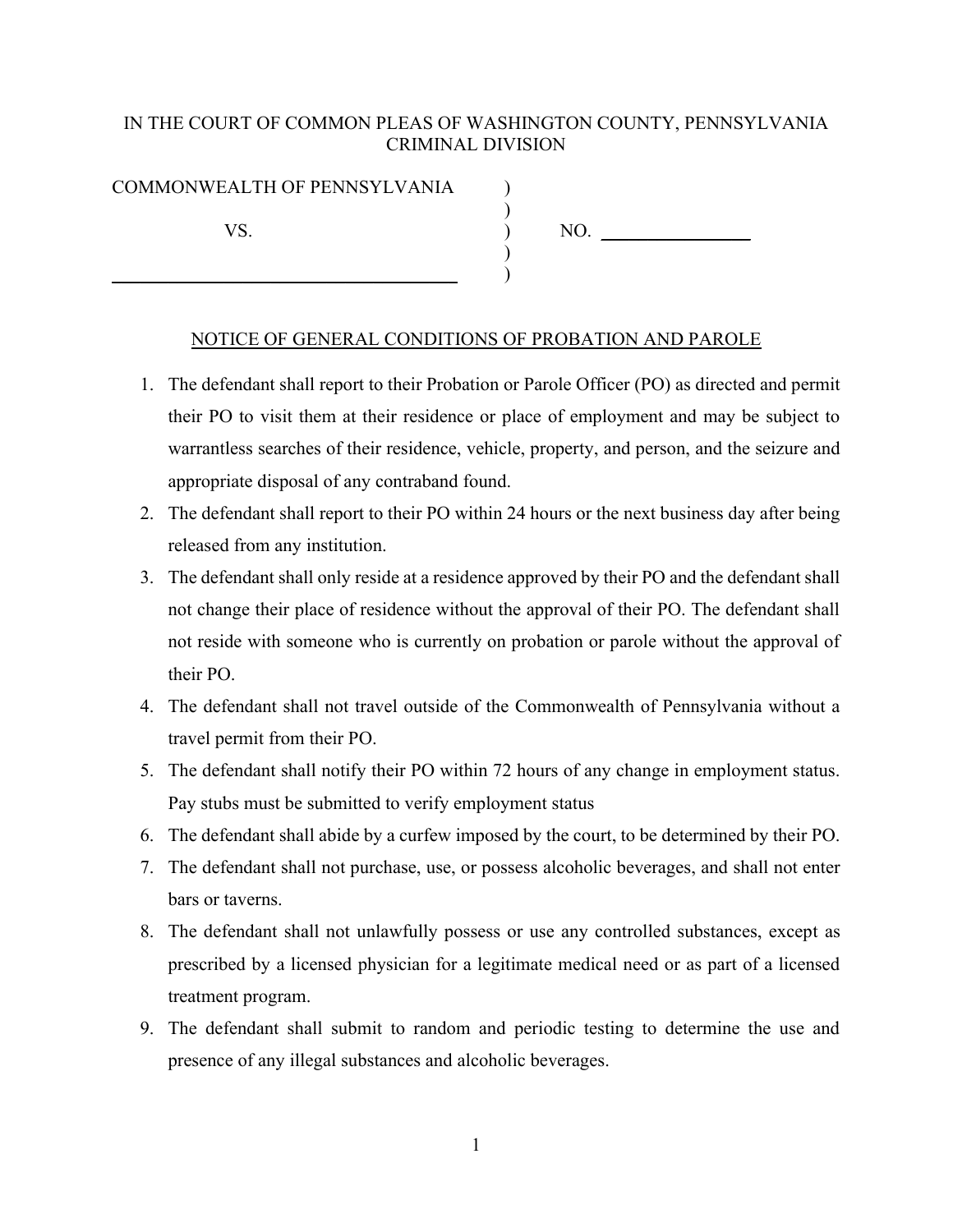## IN THE COURT OF COMMON PLEAS OF WASHINGTON COUNTY, PENNSYLVANIA CRIMINAL DIVISION

## COMMONWEALTH OF PENNSYLVANIA ) ) VS. 100. )

 $\qquad \qquad \qquad \qquad \qquad$ 

NOTICE OF GENERAL CONDITIONS OF PROBATION AND PAROLE

- 1. The defendant shall report to their Probation or Parole Officer (PO) as directed and permit their PO to visit them at their residence or place of employment and may be subject to warrantless searches of their residence, vehicle, property, and person, and the seizure and appropriate disposal of any contraband found.
- 2. The defendant shall report to their PO within 24 hours or the next business day after being released from any institution.
- 3. The defendant shall only reside at a residence approved by their PO and the defendant shall not change their place of residence without the approval of their PO. The defendant shall not reside with someone who is currently on probation or parole without the approval of their PO.
- 4. The defendant shall not travel outside of the Commonwealth of Pennsylvania without a travel permit from their PO.
- 5. The defendant shall notify their PO within 72 hours of any change in employment status. Pay stubs must be submitted to verify employment status
- 6. The defendant shall abide by a curfew imposed by the court, to be determined by their PO.
- 7. The defendant shall not purchase, use, or possess alcoholic beverages, and shall not enter bars or taverns.
- 8. The defendant shall not unlawfully possess or use any controlled substances, except as prescribed by a licensed physician for a legitimate medical need or as part of a licensed treatment program.
- 9. The defendant shall submit to random and periodic testing to determine the use and presence of any illegal substances and alcoholic beverages.